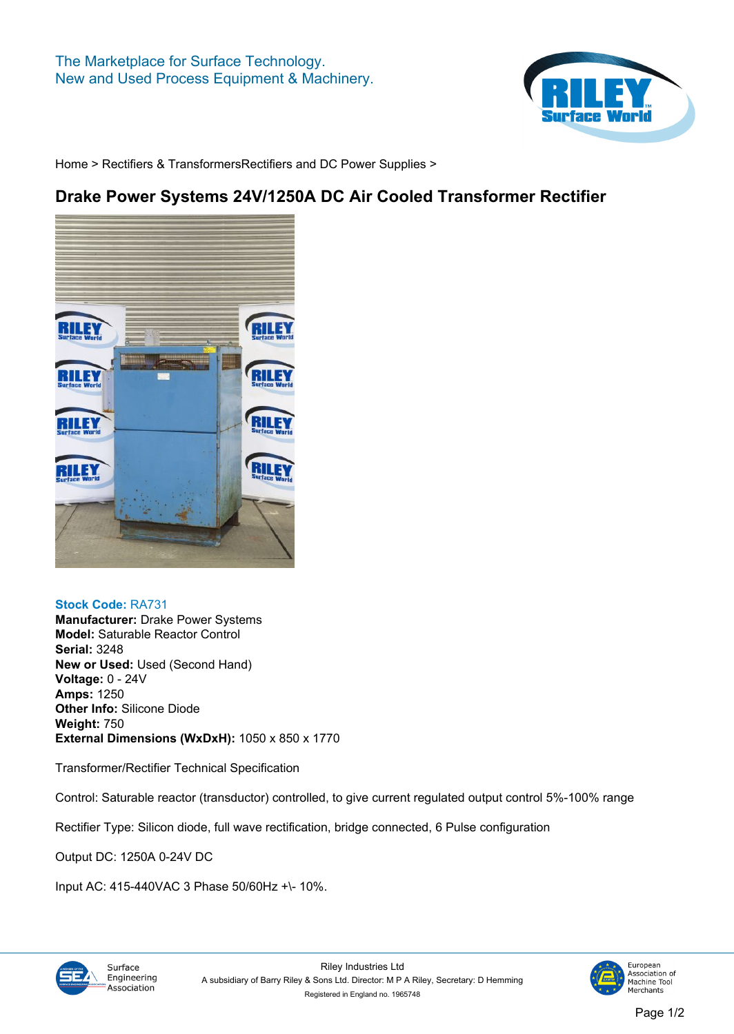

**[Home](https://www.rileysurfaceworld.co.uk) > [Rectifiers & Transformers](https://www.rileysurfaceworld.co.uk/rectifiers_transformers.asp)[Rectifiers and DC Power Supplies](https://www.rileysurfaceworld.co.uk/rectifiers_power_supplies.asp) >**

## **Drake Power Systems 24V/1250A DC Air Cooled Transformer Rectifier**



## **Stock Code: RA731**

**Manufacturer: Drake Power Systems Model: Saturable Reactor Control Serial: 3248 New or Used: Used (Second Hand) Voltage: 0 - 24V Amps: 1250 Other Info: Silicone Diode Weight: 750 External Dimensions (WxDxH): 1050 x 850 x 1770**

**Transformer/Rectifier Technical Specification**

**Control: Saturable reactor (transductor) controlled, to give current regulated output control 5%-100% range**

**Rectifier Type: Silicon diode, full wave rectification, bridge connected, 6 Pulse configuration**

**Output DC: 1250A 0-24V DC**

**Input AC: 415-440VAC 3 Phase 50/60Hz +\- 10%.**